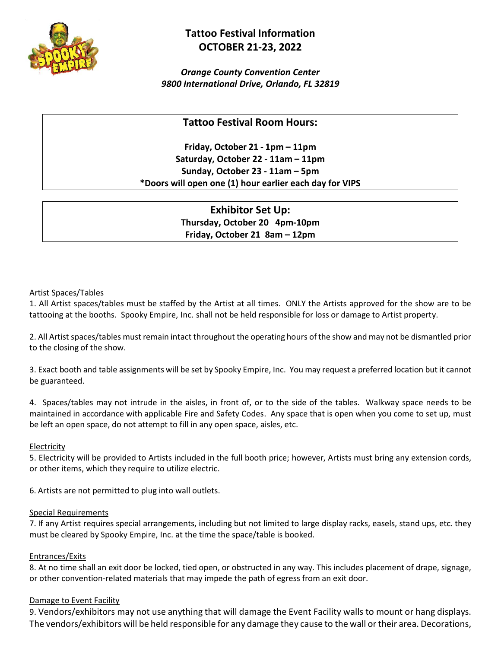

# **Tattoo Festival Information OCTOBER 21-23, 2022**

*Orange County Convention Center 9800 International Drive, Orlando, FL 32819*

# **Tattoo Festival Room Hours:**

**Friday, October 21 - 1pm – 11pm Saturday, October 22 - 11am – 11pm Sunday, October 23 - 11am – 5pm \*Doors will open one (1) hour earlier each day for VIPS**

> **Exhibitor Set Up: Thursday, October 20 4pm-10pm Friday, October 21 8am – 12pm**

# Artist Spaces/Tables

1. All Artist spaces/tables must be staffed by the Artist at all times. ONLY the Artists approved for the show are to be tattooing at the booths. Spooky Empire, Inc. shall not be held responsible for loss or damage to Artist property.

2. All Artist spaces/tables must remain intact throughout the operating hours of the show and may not be dismantled prior to the closing of the show.

3. Exact booth and table assignments will be set by Spooky Empire, Inc. You may request a preferred location but it cannot be guaranteed.

4. Spaces/tables may not intrude in the aisles, in front of, or to the side of the tables. Walkway space needs to be maintained in accordance with applicable Fire and Safety Codes. Any space that is open when you come to set up, must be left an open space, do not attempt to fill in any open space, aisles, etc.

# Electricity

5. Electricity will be provided to Artists included in the full booth price; however, Artists must bring any extension cords, or other items, which they require to utilize electric.

6. Artists are not permitted to plug into wall outlets.

# Special Requirements

7. If any Artist requires special arrangements, including but not limited to large display racks, easels, stand ups, etc. they must be cleared by Spooky Empire, Inc. at the time the space/table is booked.

# Entrances/Exits

8. At no time shall an exit door be locked, tied open, or obstructed in any way. This includes placement of drape, signage, or other convention‐related materials that may impede the path of egress from an exit door.

# Damage to Event Facility

9. Vendors/exhibitors may not use anything that will damage the Event Facility walls to mount or hang displays. The vendors/exhibitors will be held responsible for any damage they cause to the wall ortheir area. Decorations,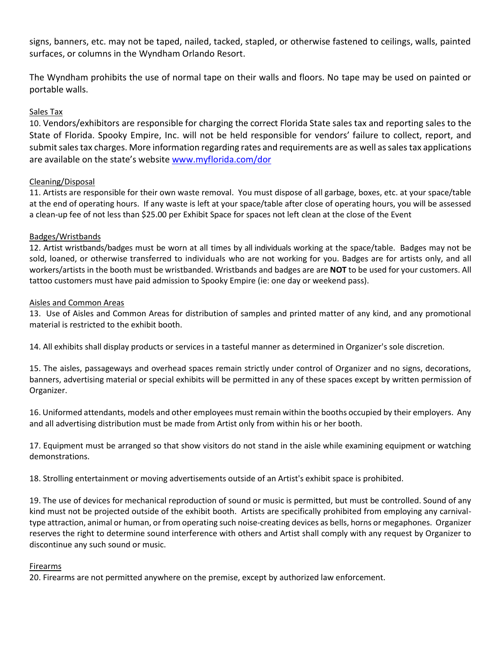signs, banners, etc. may not be taped, nailed, tacked, stapled, or otherwise fastened to ceilings, walls, painted surfaces, or columns in the Wyndham Orlando Resort.

The Wyndham prohibits the use of normal tape on their walls and floors. No tape may be used on painted or portable walls.

# Sales Tax

10. Vendors/exhibitors are responsible for charging the correct Florida State sales tax and reporting sales to the State of Florida. Spooky Empire, Inc. will not be held responsible for vendors' failure to collect, report, and submit sales tax charges. More information regarding rates and requirements are as well as sales tax applications are available on the state's website [www.myflorida.com/dor](http://www.myflorida.com/dor)

# Cleaning/Disposal

11. Artists are responsible for their own waste removal. You must dispose of all garbage, boxes, etc. at your space/table at the end of operating hours. If any waste is left at your space/table after close of operating hours, you will be assessed a clean-up fee of not less than \$25.00 per Exhibit Space for spaces not left clean at the close of the Event

# Badges/Wristbands

12. Artist wristbands/badges must be worn at all times by all individuals working at the space/table. Badges may not be sold, loaned, or otherwise transferred to individuals who are not working for you. Badges are for artists only, and all workers/artists in the booth must be wristbanded. Wristbands and badges are are **NOT** to be used for your customers. All tattoo customers must have paid admission to Spooky Empire (ie: one day or weekend pass).

# Aisles and Common Areas

13. Use of Aisles and Common Areas for distribution of samples and printed matter of any kind, and any promotional material is restricted to the exhibit booth.

14. All exhibits shall display products or services in a tasteful manner as determined in Organizer's sole discretion.

15. The aisles, passageways and overhead spaces remain strictly under control of Organizer and no signs, decorations, banners, advertising material or special exhibits will be permitted in any of these spaces except by written permission of Organizer.

16. Uniformed attendants, models and other employees must remain within the booths occupied by their employers. Any and all advertising distribution must be made from Artist only from within his or her booth.

17. Equipment must be arranged so that show visitors do not stand in the aisle while examining equipment or watching demonstrations.

18. Strolling entertainment or moving advertisements outside of an Artist's exhibit space is prohibited.

19. The use of devices for mechanical reproduction of sound or music is permitted, but must be controlled. Sound of any kind must not be projected outside of the exhibit booth. Artists are specifically prohibited from employing any carnivaltype attraction, animal or human, or from operating such noise-creating devices as bells, horns or megaphones. Organizer reserves the right to determine sound interference with others and Artist shall comply with any request by Organizer to discontinue any such sound or music.

# Firearms

20. Firearms are not permitted anywhere on the premise, except by authorized law enforcement.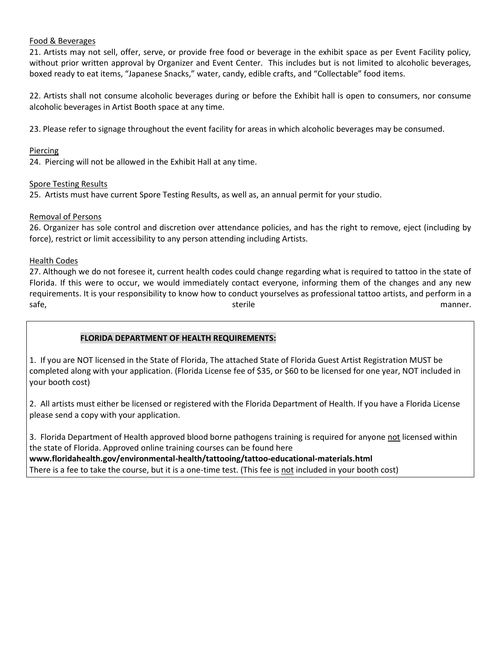# Food & Beverages

21. Artists may not sell, offer, serve, or provide free food or beverage in the exhibit space as per Event Facility policy, without prior written approval by Organizer and Event Center. This includes but is not limited to alcoholic beverages, boxed ready to eat items, "Japanese Snacks," water, candy, edible crafts, and "Collectable" food items.

22. Artists shall not consume alcoholic beverages during or before the Exhibit hall is open to consumers, nor consume alcoholic beverages in Artist Booth space at any time.

23. Please refer to signage throughout the event facility for areas in which alcoholic beverages may be consumed.

# Piercing

24. Piercing will not be allowed in the Exhibit Hall at any time.

# Spore Testing Results

25. Artists must have current Spore Testing Results, as well as, an annual permit for your studio.

# Removal of Persons

26. Organizer has sole control and discretion over attendance policies, and has the right to remove, eject (including by force), restrict or limit accessibility to any person attending including Artists.

# **Health Codes**

27. Although we do not foresee it, current health codes could change regarding what is required to tattoo in the state of Florida. If this were to occur, we would immediately contact everyone, informing them of the changes and any new requirements. It is your responsibility to know how to conduct yourselves as professional tattoo artists, and perform in a safe, the manner. The sterile manner of the sterile manner.

# **FLORIDA DEPARTMENT OF HEALTH REQUIREMENTS:**

1. If you are NOT licensed in the State of Florida, The attached State of Florida Guest Artist Registration MUST be completed along with your application. (Florida License fee of \$35, or \$60 to be licensed for one year, NOT included in your booth cost)

2. All artists must either be licensed or registered with the Florida Department of Health. If you have a Florida License please send a copy with your application.

3. Florida Department of Health approved blood borne pathogens training is required for anyone not licensed within the state of Florida. Approved online training courses can be found here **www.floridahealth.gov/environmental-health/tattooing/tattoo-educational-materials.html**

There is a fee to take the course, but it is a one-time test. (This fee is not included in your booth cost)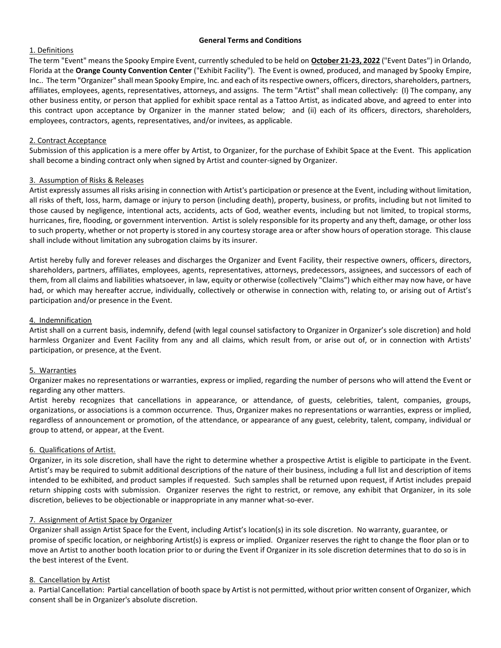### **General Terms and Conditions**

## 1. Definitions

The term "Event" means the Spooky Empire Event, currently scheduled to be held on **October 21-23, 2022** ("Event Dates") in Orlando, Florida at the **Orange County Convention Center** ("Exhibit Facility"). The Event is owned, produced, and managed by Spooky Empire, Inc.. The term "Organizer" shall mean Spooky Empire, Inc. and each of its respective owners, officers, directors, shareholders, partners, affiliates, employees, agents, representatives, attorneys, and assigns. The term "Artist" shall mean collectively: (I) The company, any other business entity, or person that applied for exhibit space rental as a Tattoo Artist, as indicated above, and agreed to enter into this contract upon acceptance by Organizer in the manner stated below; and (ii) each of its officers, directors, shareholders, employees, contractors, agents, representatives, and/or invitees, as applicable.

## 2. Contract Acceptance

Submission of this application is a mere offer by Artist, to Organizer, for the purchase of Exhibit Space at the Event. This application shall become a binding contract only when signed by Artist and counter-signed by Organizer.

## 3. Assumption of Risks & Releases

Artist expressly assumes all risks arising in connection with Artist's participation or presence at the Event, including without limitation, all risks of theft, loss, harm, damage or injury to person (including death), property, business, or profits, including but not limited to those caused by negligence, intentional acts, accidents, acts of God, weather events, including but not limited, to tropical storms, hurricanes, fire, flooding, or government intervention. Artist is solely responsible for its property and any theft, damage, or other loss to such property, whether or not property is stored in any courtesy storage area or after show hours of operation storage. This clause shall include without limitation any subrogation claims by its insurer.

Artist hereby fully and forever releases and discharges the Organizer and Event Facility, their respective owners, officers, directors, shareholders, partners, affiliates, employees, agents, representatives, attorneys, predecessors, assignees, and successors of each of them, from all claims and liabilities whatsoever, in law, equity or otherwise (collectively "Claims") which either may now have, or have had, or which may hereafter accrue, individually, collectively or otherwise in connection with, relating to, or arising out of Artist's participation and/or presence in the Event.

### 4. Indemnification

Artist shall on a current basis, indemnify, defend (with legal counsel satisfactory to Organizer in Organizer's sole discretion) and hold harmless Organizer and Event Facility from any and all claims, which result from, or arise out of, or in connection with Artists' participation, or presence, at the Event.

#### 5. Warranties

Organizer makes no representations or warranties, express or implied, regarding the number of persons who will attend the Event or regarding any other matters.

Artist hereby recognizes that cancellations in appearance, or attendance, of guests, celebrities, talent, companies, groups, organizations, or associations is a common occurrence. Thus, Organizer makes no representations or warranties, express or implied, regardless of announcement or promotion, of the attendance, or appearance of any guest, celebrity, talent, company, individual or group to attend, or appear, at the Event.

## 6. Qualifications of Artist.

Organizer, in its sole discretion, shall have the right to determine whether a prospective Artist is eligible to participate in the Event. Artist's may be required to submit additional descriptions of the nature of their business, including a full list and description of items intended to be exhibited, and product samples if requested. Such samples shall be returned upon request, if Artist includes prepaid return shipping costs with submission. Organizer reserves the right to restrict, or remove, any exhibit that Organizer, in its sole discretion, believes to be objectionable or inappropriate in any manner what-so-ever.

## 7. Assignment of Artist Space by Organizer

Organizer shall assign Artist Space for the Event, including Artist's location(s) in its sole discretion. No warranty, guarantee, or promise of specific location, or neighboring Artist(s) is express or implied. Organizer reserves the right to change the floor plan or to move an Artist to another booth location prior to or during the Event if Organizer in its sole discretion determines that to do so is in the best interest of the Event.

## 8. Cancellation by Artist

a. Partial Cancellation: Partial cancellation of booth space by Artist is not permitted, without prior written consent of Organizer, which consent shall be in Organizer's absolute discretion.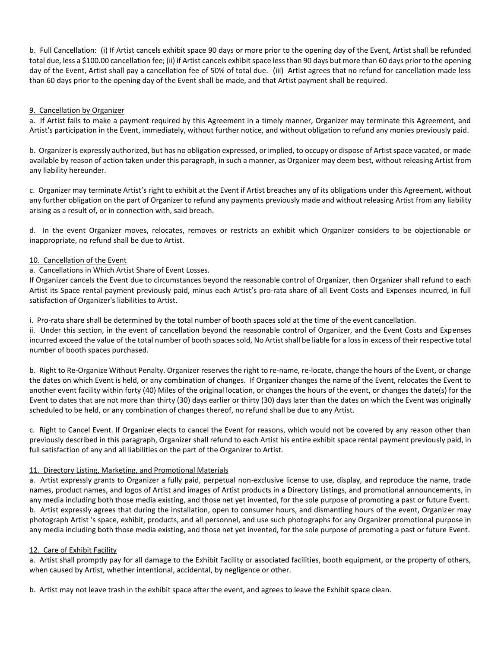b. Full Cancellation: (i) If Artist cancels exhibit space 90 days or more prior to the opening day of the Event, Artist shall be refunded total due, less a \$100.00 cancellation fee; (ii) if Artist cancels exhibit space less than 90 days but more than 60 days prior to the opening day of the Event, Artist shall pay a cancellation fee of 50% of total due. (iii) Artist agrees that no refund for cancellation made less than 60 days prior to the opening day of the Event shall be made, and that Artist payment shall be required.

## 9. Cancellation by Organizer

a. If Artist fails to make a payment required by this Agreement in a timely manner, Organizer may terminate this Agreement, and Artist's participation in the Event, immediately, without further notice, and without obligation to refund any monies previously paid.

b. Organizer is expressly authorized, but has no obligation expressed, or implied, to occupy or dispose of Artist space vacated, or made available by reason of action taken under this paragraph, in such a manner, as Organizer may deem best, without releasing Artist from any liability hereunder.

c. Organizer may terminate Artist's right to exhibit at the Event if Artist breaches any of its obligations under this Agreement, without any further obligation on the part of Organizer to refund any payments previously made and without releasing Artist from any liability arising as a result of, or in connection with, said breach.

d. In the event Organizer moves, relocates, removes or restricts an exhibit which Organizer considers to be objectionable or inappropriate, no refund shall be due to Artist.

#### 10. Cancellation of the Event

## a. Cancellations in Which Artist Share of Event Losses.

If Organizer cancels the Event due to circumstances beyond the reasonable control of Organizer, then Organizer shall refund to each Artist its Space rental payment previously paid, minus each Artist's pro-rata share of all Event Costs and Expenses incurred, in full satisfaction of Organizer's liabilities to Artist.

i. Pro-rata share shall be determined by the total number of booth spaces sold at the time of the event cancellation.

ii. Under this section, in the event of cancellation beyond the reasonable control of Organizer, and the Event Costs and Expenses incurred exceed the value of the total number of booth spaces sold, No Artist shall be liable for a loss in excess of their respective total number of booth spaces purchased.

b. Right to Re-Organize Without Penalty. Organizer reserves the right to re-name, re-locate, change the hours of the Event, or change the dates on which Event is held, or any combination of changes. If Organizer changes the name of the Event, relocates the Event to another event facility within forty (40) Miles of the original location, or changes the hours of the event, or changes the date(s) for the Event to dates that are not more than thirty (30) days earlier or thirty (30) days later than the dates on which the Event was originally scheduled to be held, or any combination of changes thereof, no refund shall be due to any Artist.

c. Right to Cancel Event. If Organizer elects to cancel the Event for reasons, which would not be covered by any reason other than previously described in this paragraph, Organizer shall refund to each Artist his entire exhibit space rental payment previously paid, in full satisfaction of any and all liabilities on the part of the Organizer to Artist.

## 11. Directory Listing, Marketing, and Promotional Materials

a. Artist expressly grants to Organizer a fully paid, perpetual non-exclusive license to use, display, and reproduce the name, trade names, product names, and logos of Artist and images of Artist products in a Directory Listings, and promotional announcements, in any media including both those media existing, and those net yet invented, for the sole purpose of promoting a past or future Event. b. Artist expressly agrees that during the installation, open to consumer hours, and dismantling hours of the event, Organizer may photograph Artist 's space, exhibit, products, and all personnel, and use such photographs for any Organizer promotional purpose in any media including both those media existing, and those net yet invented, for the sole purpose of promoting a past or future Event.

#### 12. Care of Exhibit Facility

a. Artist shall promptly pay for all damage to the Exhibit Facility or associated facilities, booth equipment, or the property of others, when caused by Artist, whether intentional, accidental, by negligence or other.

b. Artist may not leave trash in the exhibit space after the event, and agrees to leave the Exhibit space clean.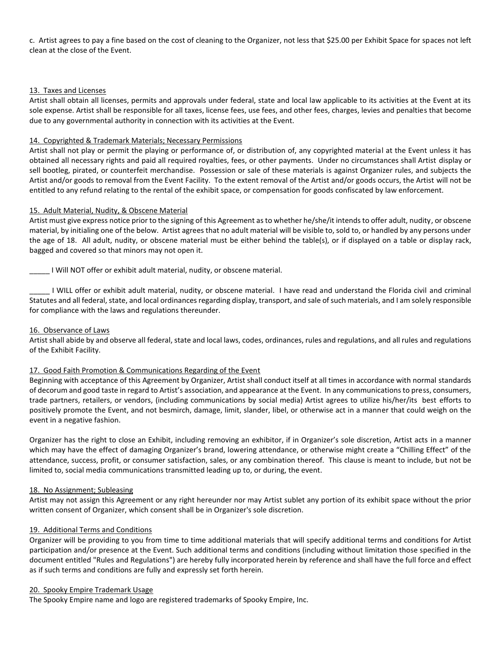c. Artist agrees to pay a fine based on the cost of cleaning to the Organizer, not less that \$25.00 per Exhibit Space for spaces not left clean at the close of the Event.

## 13. Taxes and Licenses

Artist shall obtain all licenses, permits and approvals under federal, state and local law applicable to its activities at the Event at its sole expense. Artist shall be responsible for all taxes, license fees, use fees, and other fees, charges, levies and penalties that become due to any governmental authority in connection with its activities at the Event.

## 14. Copyrighted & Trademark Materials; Necessary Permissions

Artist shall not play or permit the playing or performance of, or distribution of, any copyrighted material at the Event unless it has obtained all necessary rights and paid all required royalties, fees, or other payments. Under no circumstances shall Artist display or sell bootleg, pirated, or counterfeit merchandise. Possession or sale of these materials is against Organizer rules, and subjects the Artist and/or goods to removal from the Event Facility. To the extent removal of the Artist and/or goods occurs, the Artist will not be entitled to any refund relating to the rental of the exhibit space, or compensation for goods confiscated by law enforcement.

#### 15. Adult Material, Nudity, & Obscene Material

Artist must give express notice prior to the signing of this Agreement as to whether he/she/it intends to offer adult, nudity, or obscene material, by initialing one of the below. Artist agrees that no adult material will be visible to, sold to, or handled by any persons under the age of 18. All adult, nudity, or obscene material must be either behind the table(s), or if displayed on a table or display rack, bagged and covered so that minors may not open it.

\_\_\_\_\_ I Will NOT offer or exhibit adult material, nudity, or obscene material.

\_\_\_\_\_ I WILL offer or exhibit adult material, nudity, or obscene material. I have read and understand the Florida civil and criminal Statutes and all federal, state, and local ordinances regarding display, transport, and sale of such materials, and I am solely responsible for compliance with the laws and regulations thereunder.

#### 16. Observance of Laws

Artist shall abide by and observe all federal, state and local laws, codes, ordinances, rules and regulations, and all rules and regulations of the Exhibit Facility.

#### 17. Good Faith Promotion & Communications Regarding of the Event

Beginning with acceptance of this Agreement by Organizer, Artist shall conduct itself at all times in accordance with normal standards of decorum and good taste in regard to Artist's association, and appearance at the Event. In any communications to press, consumers, trade partners, retailers, or vendors, (including communications by social media) Artist agrees to utilize his/her/its best efforts to positively promote the Event, and not besmirch, damage, limit, slander, libel, or otherwise act in a manner that could weigh on the event in a negative fashion.

Organizer has the right to close an Exhibit, including removing an exhibitor, if in Organizer's sole discretion, Artist acts in a manner which may have the effect of damaging Organizer's brand, lowering attendance, or otherwise might create a "Chilling Effect" of the attendance, success, profit, or consumer satisfaction, sales, or any combination thereof. This clause is meant to include, but not be limited to, social media communications transmitted leading up to, or during, the event.

#### 18. No Assignment; Subleasing

Artist may not assign this Agreement or any right hereunder nor may Artist sublet any portion of its exhibit space without the prior written consent of Organizer, which consent shall be in Organizer's sole discretion.

## 19. Additional Terms and Conditions

Organizer will be providing to you from time to time additional materials that will specify additional terms and conditions for Artist participation and/or presence at the Event. Such additional terms and conditions (including without limitation those specified in the document entitled "Rules and Regulations") are hereby fully incorporated herein by reference and shall have the full force and effect as if such terms and conditions are fully and expressly set forth herein.

#### 20. Spooky Empire Trademark Usage

The Spooky Empire name and logo are registered trademarks of Spooky Empire, Inc.